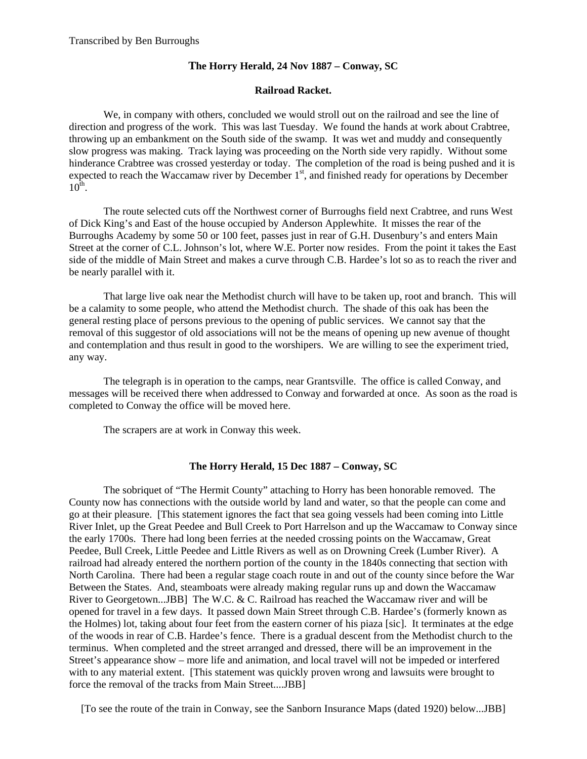## **The Horry Herald, 24 Nov 1887 – Conway, SC**

## **Railroad Racket.**

 We, in company with others, concluded we would stroll out on the railroad and see the line of direction and progress of the work. This was last Tuesday. We found the hands at work about Crabtree, throwing up an embankment on the South side of the swamp. It was wet and muddy and consequently slow progress was making. Track laying was proceeding on the North side very rapidly. Without some hinderance Crabtree was crossed yesterday or today. The completion of the road is being pushed and it is expected to reach the Waccamaw river by December 1<sup>st</sup>, and finished ready for operations by December  $10^{\text{th}}$ .

 The route selected cuts off the Northwest corner of Burroughs field next Crabtree, and runs West of Dick King's and East of the house occupied by Anderson Applewhite. It misses the rear of the Burroughs Academy by some 50 or 100 feet, passes just in rear of G.H. Dusenbury's and enters Main Street at the corner of C.L. Johnson's lot, where W.E. Porter now resides. From the point it takes the East side of the middle of Main Street and makes a curve through C.B. Hardee's lot so as to reach the river and be nearly parallel with it.

 That large live oak near the Methodist church will have to be taken up, root and branch. This will be a calamity to some people, who attend the Methodist church. The shade of this oak has been the general resting place of persons previous to the opening of public services. We cannot say that the removal of this suggestor of old associations will not be the means of opening up new avenue of thought and contemplation and thus result in good to the worshipers. We are willing to see the experiment tried, any way.

 The telegraph is in operation to the camps, near Grantsville. The office is called Conway, and messages will be received there when addressed to Conway and forwarded at once. As soon as the road is completed to Conway the office will be moved here.

The scrapers are at work in Conway this week.

## **The Horry Herald, 15 Dec 1887 – Conway, SC**

The sobriquet of "The Hermit County" attaching to Horry has been honorable removed. The County now has connections with the outside world by land and water, so that the people can come and go at their pleasure. [This statement ignores the fact that sea going vessels had been coming into Little River Inlet, up the Great Peedee and Bull Creek to Port Harrelson and up the Waccamaw to Conway since the early 1700s. There had long been ferries at the needed crossing points on the Waccamaw, Great Peedee, Bull Creek, Little Peedee and Little Rivers as well as on Drowning Creek (Lumber River). A railroad had already entered the northern portion of the county in the 1840s connecting that section with North Carolina. There had been a regular stage coach route in and out of the county since before the War Between the States. And, steamboats were already making regular runs up and down the Waccamaw River to Georgetown...JBB] The W.C. & C. Railroad has reached the Waccamaw river and will be opened for travel in a few days. It passed down Main Street through C.B. Hardee's (formerly known as the Holmes) lot, taking about four feet from the eastern corner of his piaza [sic]. It terminates at the edge of the woods in rear of C.B. Hardee's fence. There is a gradual descent from the Methodist church to the terminus. When completed and the street arranged and dressed, there will be an improvement in the Street's appearance show – more life and animation, and local travel will not be impeded or interfered with to any material extent. [This statement was quickly proven wrong and lawsuits were brought to force the removal of the tracks from Main Street....JBB]

[To see the route of the train in Conway, see the Sanborn Insurance Maps (dated 1920) below...JBB]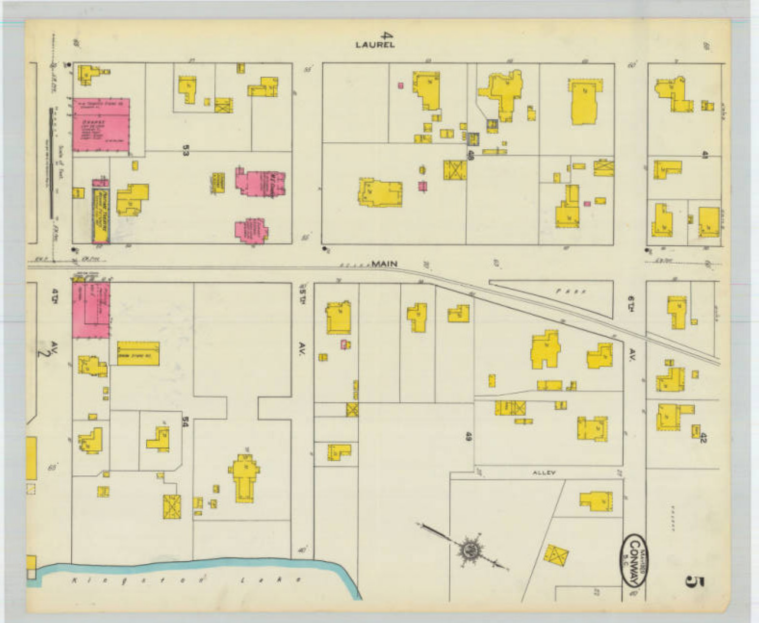